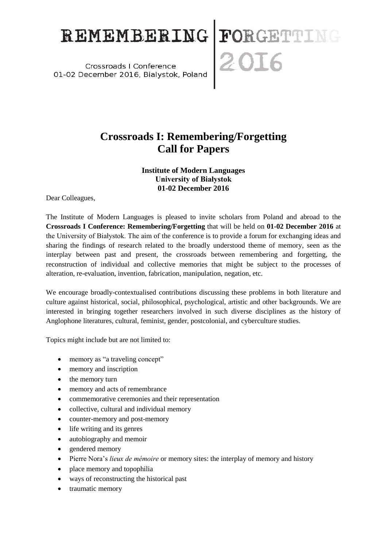## REMEMBERING FORGETTING

## **Crossroads I: Remembering/Forgetting Call for Papers**

## **Institute of Modern Languages University of Białystok 01-02 December 2016**

Dear Colleagues,

The Institute of Modern Languages is pleased to invite scholars from Poland and abroad to the **Crossroads I Conference: Remembering/Forgetting** that will be held on **01-02 December 2016** at the University of Białystok. The aim of the conference is to provide a forum for exchanging ideas and sharing the findings of research related to the broadly understood theme of memory, seen as the interplay between past and present, the crossroads between remembering and forgetting, the reconstruction of individual and collective memories that might be subject to the processes of alteration, re-evaluation, invention, fabrication, manipulation, negation, etc.

We encourage broadly-contextualised contributions discussing these problems in both literature and culture against historical, social, philosophical, psychological, artistic and other backgrounds. We are interested in bringing together researchers involved in such diverse disciplines as the history of Anglophone literatures, cultural, feminist, gender, postcolonial, and cyberculture studies.

Topics might include but are not limited to:

- memory as "a traveling concept"
- memory and inscription
- the memory turn
- memory and acts of remembrance
- commemorative ceremonies and their representation
- collective, cultural and individual memory
- counter-memory and post-memory
- life writing and its genres
- autobiography and memoir
- gendered memory
- Pierre Nora's *lieux de mémoire* or memory sites: the interplay of memory and history
- place memory and topophilia
- ways of reconstructing the historical past
- traumatic memory